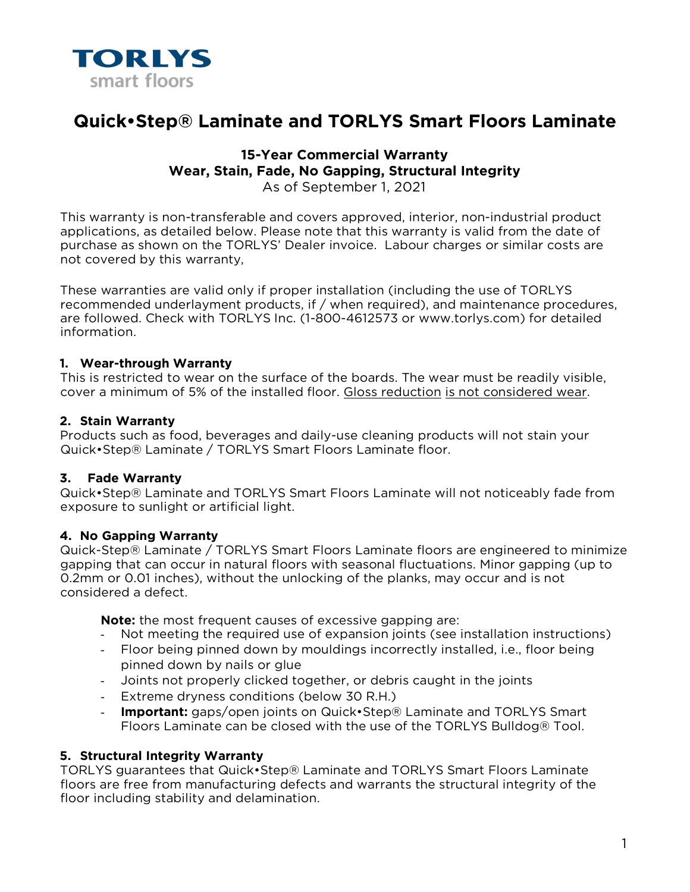

# **Quick•Step® Laminate and TORLYS Smart Floors Laminate**

# **15-Year Commercial Warranty Wear, Stain, Fade, No Gapping, Structural Integrity**  As of September 1, 2021

This warranty is non-transferable and covers approved, interior, non-industrial product applications, as detailed below. Please note that this warranty is valid from the date of purchase as shown on the TORLYS' Dealer invoice. Labour charges or similar costs are not covered by this warranty,

These warranties are valid only if proper installation (including the use of TORLYS recommended underlayment products, if / when required), and maintenance procedures, are followed. Check with TORLYS Inc. (1-800-4612573 or www.torlys.com) for detailed information.

#### **1. Wear-through Warranty**

This is restricted to wear on the surface of the boards. The wear must be readily visible, cover a minimum of 5% of the installed floor. Gloss reduction is not considered wear.

#### **2. Stain Warranty**

Products such as food, beverages and daily-use cleaning products will not stain your Quick•Step® Laminate / TORLYS Smart Floors Laminate floor.

# **3. Fade Warranty**

Quick•Step® Laminate and TORLYS Smart Floors Laminate will not noticeably fade from exposure to sunlight or artificial light.

# **4. No Gapping Warranty**

Quick-Step® Laminate / TORLYS Smart Floors Laminate floors are engineered to minimize gapping that can occur in natural floors with seasonal fluctuations. Minor gapping (up to 0.2mm or 0.01 inches), without the unlocking of the planks, may occur and is not considered a defect.

**Note:** the most frequent causes of excessive gapping are:

- Not meeting the required use of expansion joints (see installation instructions)
- Floor being pinned down by mouldings incorrectly installed, i.e., floor being pinned down by nails or glue
- Joints not properly clicked together, or debris caught in the joints
- Extreme dryness conditions (below 30 R.H.)
- **Important:** gaps/open joints on Quick•Step® Laminate and TORLYS Smart Floors Laminate can be closed with the use of the TORLYS Bulldog® Tool.

# **5. Structural Integrity Warranty**

TORLYS guarantees that Quick•Step® Laminate and TORLYS Smart Floors Laminate floors are free from manufacturing defects and warrants the structural integrity of the floor including stability and delamination.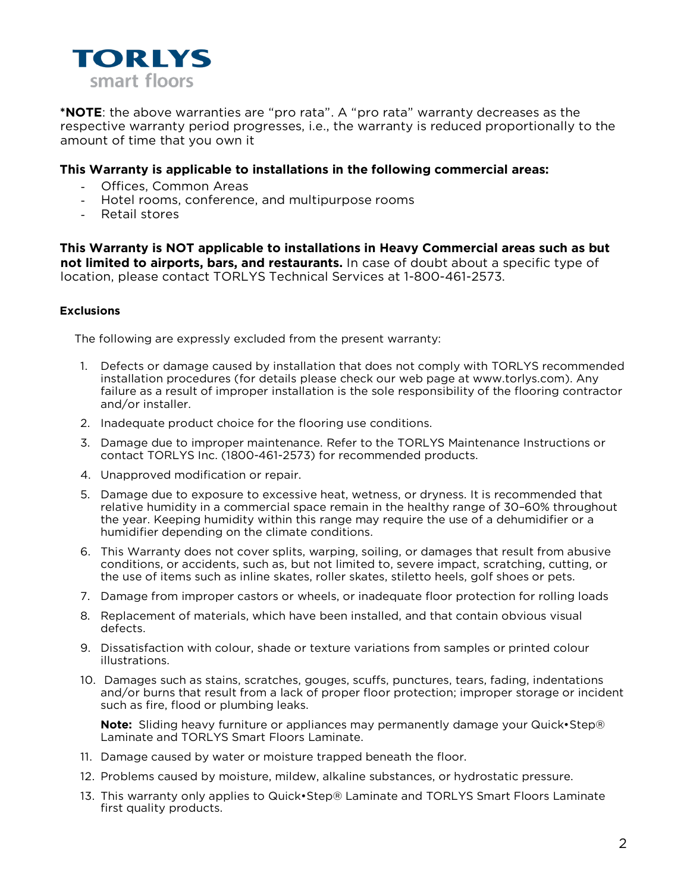

**\*NOTE**: the above warranties are "pro rata". A "pro rata" warranty decreases as the respective warranty period progresses, i.e., the warranty is reduced proportionally to the amount of time that you own it

#### **This Warranty is applicable to installations in the following commercial areas:**

- Offices, Common Areas
- Hotel rooms, conference, and multipurpose rooms
- Retail stores

**This Warranty is NOT applicable to installations in Heavy Commercial areas such as but not limited to airports, bars, and restaurants.** In case of doubt about a specific type of location, please contact TORLYS Technical Services at 1-800-461-2573.

#### **Exclusions**

The following are expressly excluded from the present warranty:

- 1. Defects or damage caused by installation that does not comply with TORLYS recommended installation procedures (for details please check our web page at www.torlys.com). Any failure as a result of improper installation is the sole responsibility of the flooring contractor and/or installer.
- 2. Inadequate product choice for the flooring use conditions.
- 3. Damage due to improper maintenance. Refer to the TORLYS Maintenance Instructions or contact TORLYS Inc. (1800-461-2573) for recommended products.
- 4. Unapproved modification or repair.
- 5. Damage due to exposure to excessive heat, wetness, or dryness. It is recommended that relative humidity in a commercial space remain in the healthy range of 30–60% throughout the year. Keeping humidity within this range may require the use of a dehumidifier or a humidifier depending on the climate conditions.
- 6. This Warranty does not cover splits, warping, soiling, or damages that result from abusive conditions, or accidents, such as, but not limited to, severe impact, scratching, cutting, or the use of items such as inline skates, roller skates, stiletto heels, golf shoes or pets.
- 7. Damage from improper castors or wheels, or inadequate floor protection for rolling loads
- 8. Replacement of materials, which have been installed, and that contain obvious visual defects.
- 9. Dissatisfaction with colour, shade or texture variations from samples or printed colour illustrations.
- 10. Damages such as stains, scratches, gouges, scuffs, punctures, tears, fading, indentations and/or burns that result from a lack of proper floor protection; improper storage or incident such as fire, flood or plumbing leaks.

**Note:** Sliding heavy furniture or appliances may permanently damage your Quick•Step® Laminate and TORLYS Smart Floors Laminate.

- 11. Damage caused by water or moisture trapped beneath the floor.
- 12. Problems caused by moisture, mildew, alkaline substances, or hydrostatic pressure.
- 13. This warranty only applies to Quick•Step® Laminate and TORLYS Smart Floors Laminate first quality products.